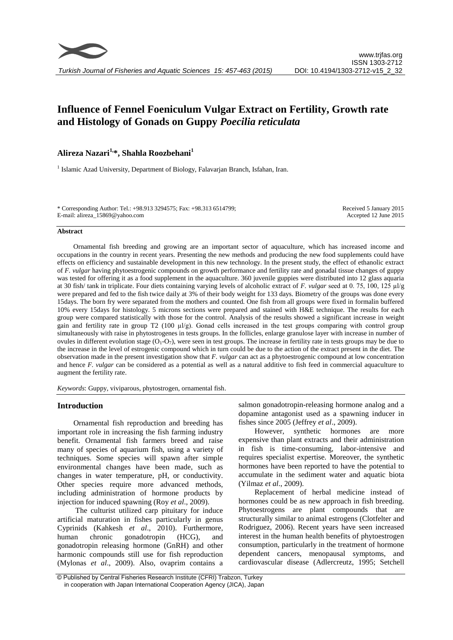# **Influence of Fennel Foeniculum Vulgar Extract on Fertility, Growth rate and Histology of Gonads on Guppy** *Poecilia reticulata*

## **Alireza Nazari1,\*, Shahla Roozbehani<sup>1</sup>**

<sup>1</sup> Islamic Azad University, Department of Biology, Falavarjan Branch, Isfahan, Iran.

\* Corresponding Author: Tel.: +98.913 3294575; Fax: +98.313 6514799; E-mail: alireza\_15869@yahoo.com

Received 5 January 2015 Accepted 12 June 2015

### **Abstract**

Ornamental fish breeding and growing are an important sector of aquaculture, which has increased income and occupations in the country in recent years. Presenting the new methods and producing the new food supplements could have effects on efficiency and sustainable development in this new technology. In the present study, the effect of ethanolic extract of *F. vulgar* having phytoestrogenic compounds on growth performance and fertility rate and gonadal tissue changes of guppy was tested for offering it as a food supplement in the aquaculture. 360 juvenile guppies were distributed into 12 glass aquaria at 30 fish/ tank in triplicate. Four diets containing varying levels of alcoholic extract of *F. vulgar* seed at 0. 75, 100, 125 µl/g were prepared and fed to the fish twice daily at 3% of their body weight for 133 days. Biometry of the groups was done every 15days. The born fry were separated from the mothers and counted. One fish from all groups were fixed in formalin buffered 10% every 15days for histology. 5 microns sections were prepared and stained with H&E technique. The results for each group were compared statistically with those for the control. Analysis of the results showed a significant increase in weight gain and fertility rate in group T2 (100  $\mu$ l/g). Gonad cells increased in the test groups comparing with control group simultaneously with raise in phytostrogenes in tests groups. In the follicles, enlarge granulose layer with increase in number of ovules in different evolution stage  $(O_1-O_7)$ , were seen in test groups. The increase in fertility rate in tests groups may be due to the increase in the level of estrogenic compound which in turn could be due to the action of the extract present in the diet. The observation made in the present investigation show that *F. vulgar* can act as a phytoestrogenic compound at low concentration and hence *F. vulgar* can be considered as a potential as well as a natural additive to fish feed in commercial aquaculture to augment the fertility rate.

*Keywords*: Guppy, viviparous, phytostrogen, ornamental fish.

## **Introduction**

Ornamental fish reproduction and breeding has important role in increasing the fish farming industry benefit. Ornamental fish farmers breed and raise many of species of aquarium fish, using a variety of techniques. Some species will spawn after simple environmental changes have been made, such as changes in water temperature, pH, or conductivity. Other species require more advanced methods, including administration of hormone products by injection for induced spawning (Roy *et al*., 2009).

The culturist utilized carp pituitary for induce artificial maturation in fishes particularly in genus Cyprinids (Kahkesh *et al*., 2010). Furthermore, human chronic gonadotropin (HCG), and gonadotropin releasing hormone (GnRH) and other harmonic compounds still use for fish reproduction (Mylonas *et al*., 2009). Also, ovaprim contains a salmon gonadotropin-releasing hormone analog and a dopamine antagonist used as a spawning inducer in fishes since 2005 (Jeffrey *et al*., 2009).

However, synthetic hormones are more expensive than plant extracts and their administration in fish is time-consuming, labor-intensive and requires specialist expertise. Moreover, the synthetic hormones have been reported to have the potential to accumulate in the sediment water and aquatic biota (Yilmaz *et al*., 2009).

Replacement of herbal medicine instead of hormones could be as new approach in fish breeding. Phytoestrogens are plant compounds that are structurally similar to animal estrogens (Clotfelter and Rodriguez, 2006). Recent years have seen increased interest in the human health benefits of phytoestrogen consumption, particularly in the treatment of hormone dependent cancers, menopausal symptoms, and cardiovascular disease (Adlercreutz, 1995; Setchell

<sup>©</sup> Published by Central Fisheries Research Institute (CFRI) Trabzon, Turkey in cooperation with Japan International Cooperation Agency (JICA), Japan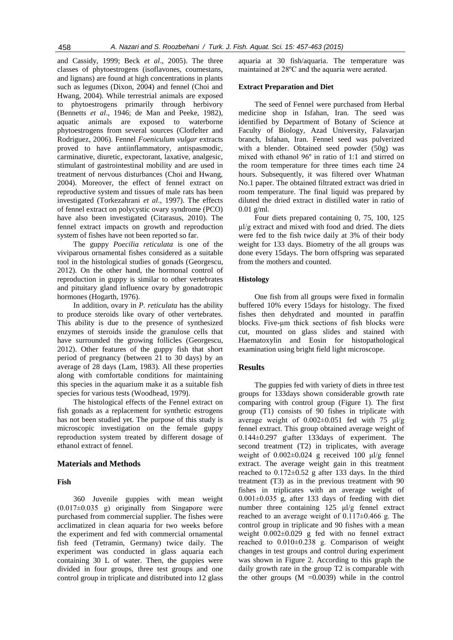and Cassidy, 1999; Beck *et al*., 2005). The three classes of phytoestrogens (isoflavones, coumestans, and lignans) are found at high concentrations in plants such as legumes (Dixon, 2004) and fennel (Choi and Hwang, 2004). While terrestrial animals are exposed to phytoestrogens primarily through herbivory (Bennetts *et al*., 1946; de Man and Peeke, 1982), aquatic animals are exposed to waterborne phytoestrogens from several sources (Clotfelter and Rodriguez, 2006). Fennel *Foeniculum vulgar* extracts proved to have antiinflammatory, antispasmodic, carminative, diuretic, expectorant, laxative, analgesic, stimulant of gastrointestinal mobility and are used in treatment of nervous disturbances (Choi and Hwang, 2004). Moreover, the effect of fennel extract on reproductive system and tissues of male rats has been investigated (Torkezahrani *et al*., 1997). The effects of fennel extract on polycystic ovary syndrome (PCO) have also been investigated (Citarasus, 2010). The fennel extract impacts on growth and reproduction system of fishes have not been reported so far.

The guppy *Poecilia reticulata* is one of the viviparous ornamental fishes considered as a suitable tool in the histological studies of gonads (Georgescu, 2012). On the other hand, the hormonal control of reproduction in guppy is similar to other vertebrates and pituitary gland influence ovary by gonadotropic hormones (Hogarth, 1976).

In addition, ovary in *P. reticulata* has the ability to produce steroids like ovary of other vertebrates. This ability is due to the presence of synthesized enzymes of steroids inside the granulose cells that have surrounded the growing follicles (Georgescu, 2012). Other features of the guppy fish that short period of pregnancy (between 21 to 30 days) by an average of 28 days (Lam, 1983). All these properties along with comfortable conditions for maintaining this species in the aquarium make it as a suitable fish species for various tests (Woodhead, 1979).

The histological effects of the Fennel extract on fish gonads as a replacement for synthetic estrogens has not been studied yet. The purpose of this study is microscopic investigation on the female guppy reproduction system treated by different dosage of ethanol extract of fennel.

## **Materials and Methods**

### **Fish**

360 Juvenile guppies with mean weight (0.017±0.035 g) originally from Singapore were purchased from commercial supplier. The fishes were acclimatized in clean aquaria for two weeks before the experiment and fed with commercial ornamental fish feed (Tetramin, Germany) twice daily. The experiment was conducted in glass aquaria each containing 30 L of water. Then, the guppies were divided in four groups, three test groups and one control group in triplicate and distributed into 12 glass aquaria at 30 fish/aquaria. The temperature was maintained at 28ºC and the aquaria were aerated.

#### **Extract Preparation and Diet**

The seed of Fennel were purchased from Herbal medicine shop in Isfahan, Iran. The seed was identified by Department of Botany of Science at Faculty of Biology, Azad University, Falavarjan branch, Isfahan, Iran. Fennel seed was pulverized with a blender. Obtained seed powder (50g) was mixed with ethanol 96º in ratio of 1:1 and stirred on the room temperature for three times each time 24 hours. Subsequently, it was filtered over Whatman No.1 paper. The obtained filtrated extract was dried in room temperature. The final liquid was prepared by diluted the dried extract in distilled water in ratio of 0.01 g/ml.

Four diets prepared containing 0, 75, 100, 125 µl/g extract and mixed with food and dried. The diets were fed to the fish twice daily at 3% of their body weight for 133 days. Biometry of the all groups was done every 15days. The born offspring was separated from the mothers and counted.

## **Histology**

One fish from all groups were fixed in formalin buffered 10% every 15days for histology. The fixed fishes then dehydrated and mounted in paraffin blocks. Five-μm thick sections of fish blocks were cut, mounted on glass slides and stained with Haematoxylin and Eosin for histopathological examination using bright field light microscope.

## **Results**

The guppies fed with variety of diets in three test groups for 133days shown considerable growth rate comparing with control group (Figure 1). The first group (T1) consists of 90 fishes in triplicate with average weight of  $0.002\pm0.051$  fed with 75  $\mu$ l/g fennel extract. This group obtained average weight of 0.144±0.297 g\after 133days of experiment. The second treatment (T2) in triplicates, with average weight of 0.002±0.024 g received 100 μl/g fennel extract. The average weight gain in this treatment reached to  $0.172 \pm 0.52$  g after 133 days. In the third treatment (T3) as in the previous treatment with 90 fishes in triplicates with an average weight of  $0.001\pm0.035$  g, after 133 days of feeding with diet number three containing 125 μl/g fennel extract reached to an average weight of  $0.117\pm0.466$  g. The control group in triplicate and 90 fishes with a mean weight 0.002±0.029 g fed with no fennel extract reached to 0.010±0.238 g. Comparison of weight changes in test groups and control during experiment was shown in Figure 2. According to this graph the daily growth rate in the group T2 is comparable with the other groups  $(M = 0.0039)$  while in the control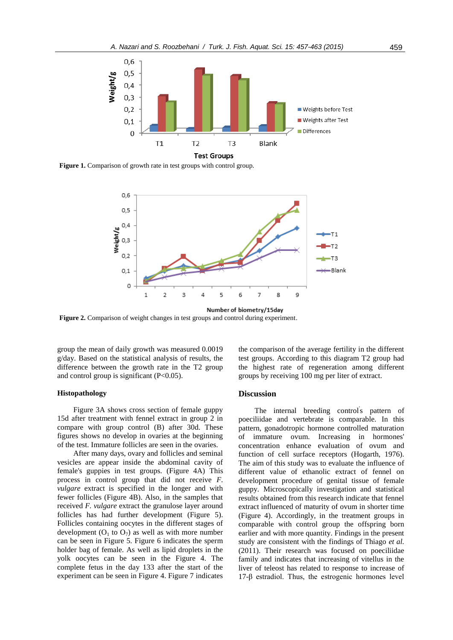

**Figure 1.** Comparison of growth rate in test groups with control group.



**Figure 2.** Comparison of weight changes in test groups and control during experiment.

group the mean of daily growth was measured 0.0019 g/day. Based on the statistical analysis of results, the difference between the growth rate in the T2 group and control group is significant  $(P<0.05)$ .

## **Histopathology**

Figure 3A shows cross section of female guppy 15d after treatment with fennel extract in group 2 in compare with group control (B) after 30d. These figures shows no develop in ovaries at the beginning of the test. Immature follicles are seen in the ovaries.

After many days, ovary and follicles and seminal vesicles are appear inside the abdominal cavity of female's guppies in test groups. (Figure 4A) This process in control group that did not receive *F. vulgare* extract is specified in the longer and with fewer follicles (Figure 4B). Also, in the samples that received *F. vulgare* extract the granulose layer around follicles has had further development (Figure 5). Follicles containing oocytes in the different stages of development  $(O_1$  to  $O_7$ ) as well as with more number can be seen in Figure 5. Figure 6 indicates the sperm holder bag of female. As well as lipid droplets in the yolk oocytes can be seen in the Figure 4. The complete fetus in the day 133 after the start of the experiment can be seen in Figure 4. Figure 7 indicates

the comparison of the average fertility in the different test groups. According to this diagram T2 group had the highest rate of regeneration among different groups by receiving 100 mg per liter of extract.

## **Discussion**

The internal breeding control's pattern of poeciliidae and vertebrate is comparable. In this pattern, gonadotropic hormone controlled maturation of immature ovum. Increasing in hormones' concentration enhance evaluation of ovum and function of cell surface receptors (Hogarth, 1976). The aim of this study was to evaluate the influence of different value of ethanolic extract of fennel on development procedure of genital tissue of female guppy. Microscopically investigation and statistical results obtained from this research indicate that fennel extract influenced of maturity of ovum in shorter time (Figure 4). Accordingly, in the treatment groups in comparable with control group the offspring born earlier and with more quantity. Findings in the present study are consistent with the findings of Thiago *et al.* (2011). Their research was focused on poeciliidae family and indicates that increasing of vitellus in the liver of teleost has related to response to increase of 17-β estradiol. Thus, the estrogenic hormones level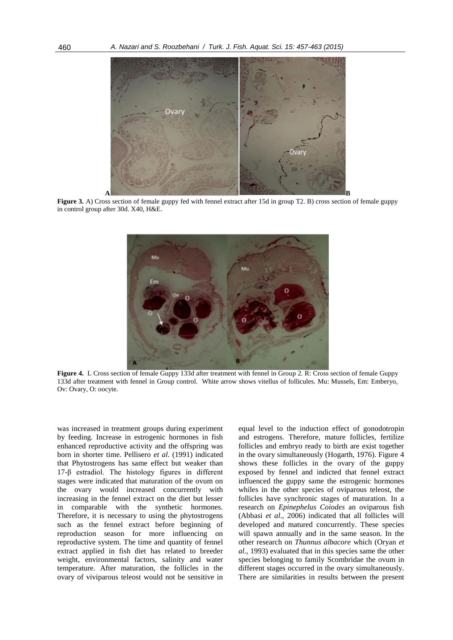

Figure 3. A) Cross section of female guppy fed with fennel extract after 15d in group T2. B) cross section of female guppy in control group after 30d. X40, H&E.



**Figure 4.** L Cross section of female Guppy 133d after treatment with fennel in Group 2. R: Cross section of female Guppy 133d after treatment with fennel in Group control. White arrow shows vitellus of follicules. Mu: Mussels, Em: Emberyo, Ov: Ovary, O: oocyte.

was increased in treatment groups during experiment by feeding. Increase in estrogenic hormones in fish enhanced reproductive activity and the offspring was born in shorter time. Pellisero *et al.* (1991) indicated that Phytostrogens has same effect but weaker than 17-β estradiol. The histology figures in different stages were indicated that maturation of the ovum on the ovary would increased concurrently with increasing in the fennel extract on the diet but lesser in comparable with the synthetic hormones. Therefore, it is necessary to using the phytostrogens such as the fennel extract before beginning of reproduction season for more influencing on reproductive system. The time and quantity of fennel extract applied in fish diet has related to breeder weight, environmental factors, salinity and water temperature. After maturation, the follicles in the ovary of viviparous teleost would not be sensitive in

equal level to the induction effect of gonodotropin and estrogens. Therefore, mature follicles, fertilize follicles and embryo ready to birth are exist together in the ovary simultaneously (Hogarth, 1976). Figure 4 shows these follicles in the ovary of the guppy exposed by fennel and indicted that fennel extract influenced the guppy same the estrogenic hormones whiles in the other species of oviparous teleost, the follicles have synchronic stages of maturation. In a research on *Epinephelus Coiodes* an oviparous fish (Abbasi *et al*., 2006) indicated that all follicles will developed and matured concurrently. These species will spawn annually and in the same season. In the other research on *Thunnus albacore* which (Oryan *et al*., 1993) evaluated that in this species same the other species belonging to family Scombridae the ovum in different stages occurred in the ovary simultaneously. There are similarities in results between the present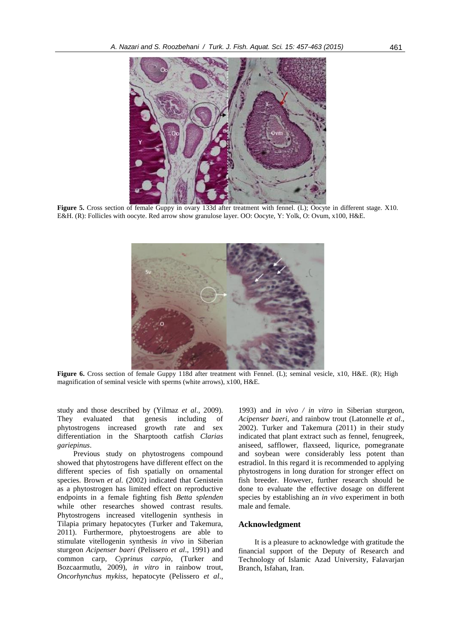

**Figure 5.** Cross section of female Guppy in ovary 133d after treatment with fennel. (L); Oocyte in different stage. X10. E&H. (R): Follicles with oocyte. Red arrow show granulose layer. OO: Oocyte, Y: Yolk, O: Ovum, x100, H&E.



**Figure 6.** Cross section of female Guppy 118d after treatment with Fennel. (L); seminal vesicle, x10, H&E. (R); High magnification of seminal vesicle with sperms (white arrows), x100, H&E.

study and those described by (Yilmaz *et al.*, 2009).<br>They evaluated that genesis including of They evaluated that genesis including of phytostrogens increased growth rate and sex differentiation in the Sharptooth catfish *Clarias gariepinus*.

Previous study on phytostrogens compound showed that phytostrogens have different effect on the different species of fish spatially on ornamental species. Brown *et al.* (2002) indicated that Genistein as a phytostrogen has limited effect on reproductive endpoints in a female fighting fish *Betta splenden* while other researches showed contrast results. Phytostrogens increased vitellogenin synthesis in Tilapia primary hepatocytes (Turker and Takemura, 2011). Furthermore, phytoestrogens are able to stimulate vitellogenin synthesis *in vivo* in Siberian sturgeon *Acipenser baeri* (Pelissero *et al*., 1991) and common carp, *Cyprinus carpio*, (Turker and Bozcaarmutlu, 2009), *in vitro* in rainbow trout, *Oncorhynchus mykiss*, hepatocyte (Pelissero *et al*.,

1993) and *in vivo / in vitro* in Siberian sturgeon, *Acipenser baeri*, and rainbow trout (Latonnelle *et al*., 2002). Turker and Takemura (2011) in their study indicated that plant extract such as fennel, fenugreek, aniseed, safflower, flaxseed, liqurice, pomegranate and soybean were considerably less potent than estradiol. In this regard it is recommended to applying phytostrogens in long duration for stronger effect on fish breeder. However, further research should be done to evaluate the effective dosage on different species by establishing an *in vivo* experiment in both male and female.

### **Acknowledgment**

It is a pleasure to acknowledge with gratitude the financial support of the Deputy of Research and Technology of Islamic Azad University, Falavarjan Branch, Isfahan, Iran.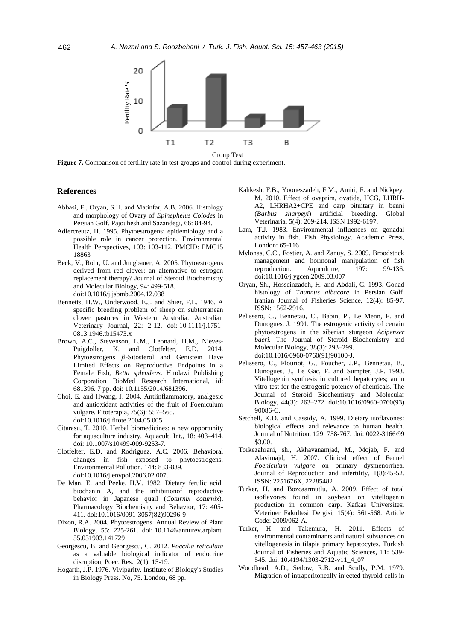

Group Test<br>Figure 7. Comparison of fertility rate in test groups and control during experiment.

#### **References**

- Abbasi, F., Oryan, S.H. and Matinfar, A.B. 2006. Histology and morphology of Ovary of *Epinephelus Coiodes* in Persian Golf. Pajouhesh and Sazandegi, 66: 84-94.
- Adlercreutz, H. 1995. Phytoestrogens: epidemiology and a possible role in cancer protection. Environmental Health Perspectives, 103: 103-112. PMCID: PMC15 18863
- Beck, V., Rohr, U. and Jungbauer, A. 2005. Phytoestrogens derived from red clover: an alternative to estrogen replacement therapy? Journal of Steroid Biochemistry and Molecular Biology, 94: 499-518. doi:10.1016/j.jsbmb.2004.12.038
- Bennetts, H.W., Underwood, E.J. and Shier, F.L. 1946. A specific breeding problem of sheep on subterranean clover pastures in Western Australia. Australian Veterinary Journal, 22: 2-12. doi: 10.1111/j.1751- 0813.1946.tb15473.x
- Brown, A.C., Stevenson, L.M., Leonard, H.M., Nieves-Puigdoller, K. and Clotfelter, E.D. 2014. Phytoestrogens  $\beta$ -Sitosterol and Genistein Have Limited Effects on Reproductive Endpoints in a Female Fish, *Betta splendens*. Hindawi Publishing Corporation BioMed Research International, id: 681396. 7 pp. doi: 10.1155/2014/681396.
- Choi, E. and Hwang, J. 2004. Antiinflammatory, analgesic and antioxidant activities of the fruit of Foeniculum vulgare. Fitoterapia, 75(6): 557–565. doi:10.1016/j.fitote.2004.05.005
- Citarasu, T. 2010. Herbal biomedicines: a new opportunity for aquaculture industry. Aquacult. Int., 18: 403–414. doi: 10.1007/s10499-009-9253-7.
- Clotfelter, E.D. and Rodriguez, A.C. 2006. Behavioral changes in fish exposed to phytoestrogens. Environmental Pollution. 144: 833-839. doi:10.1016/j.envpol.2006.02.007.
- De Man, E. and Peeke, H.V. 1982. Dietary ferulic acid, biochanin A, and the inhibitionof reproductive behavior in Japanese quail (*Coturnix coturnix*). Pharmacology Biochemistry and Behavior, 17: 405- 411. doi:10.1016/0091-3057(82)90296-9
- Dixon, R.A. 2004. Phytoestrogens. Annual Review of Plant Biology, 55: 225-261. doi: 10.1146/annurev.arplant. 55.031903.141729
- Georgescu, B. and Georgescu, C. 2012. *Poecilia reticulata* as a valuable biological indicator of endocrine disruption, Poec. Res., 2(1): 15-19.
- Hogarth, J.P. 1976. Viviparity. Institute of Biology's Studies in Biology Press. No, 75. London, 68 pp.
- Kahkesh, F.B., Yooneszadeh, F.M., Amiri, F. and Nickpey, M. 2010. Effect of ovaprim, ovatide, HCG, LHRH-A2, LHRHA2+CPE and carp pituitary in benni (*Barbus sharpeyi*) artificial breeding. Global Veterinaria, 5(4): 209-214. ISSN 1992-6197.
- Lam, T.J. 1983. Environmental influences on gonadal activity in fish. Fish Physiology. Academic Press, London: 65-116
- Mylonas, C.C., Fostier, A. and Zanuy, S. 2009. Broodstock management and hormonal manipulation of fish reproduction. Aquculture, 197: 99-136. doi:10.1016/j.ygcen.2009.03.007
- Oryan, Sh., Hosseinzadeh, H. and Abdali, C. 1993. Gonad histology of *Thunnus albacore* in Persian Golf. Iranian Journal of Fisheries Science, 12(4): 85-97. ISSN: 1562-2916.
- Pelissero, C., Bennetau, C., Babin, P., Le Menn, F. and Dunogues, J. 1991. The estrogenic activity of certain phytoestrogens in the siberian sturgeon *Acipenser baeri.* The Journal of Steroid Biochemistry and Molecular Biology, 38(3): 293–299. doi:10.1016/0960-0760(91)90100-J.
- Pelissero, C., Flouriot, G., Foucher, J.P., Bennetau, B., Dunogues, J., Le Gac, F. and Sumpter, J.P. 1993. Vitellogenin synthesis in cultured hepatocytes; an in vitro test for the estrogenic potency of chemicals. The Journal of Steroid Biochemistry and Molecular Biology, 44(3): 263–272. doi:10.1016/0960-0760(93) 90086-C.
- Setchell, K.D. and Cassidy, A. 1999. Dietary isoflavones: biological effects and relevance to human health. Journal of Nutrition, 129: 758-767. doi: 0022-3166/99 \$3.00.
- Torkezahrani, sh., Akhavanamjad, M., Mojab, F. and Alavimajd, H. 2007. Clinical effect of Fennel *Foeniculum vulgare* on primary dysmenorrhea. Journal of Reproduction and infertility, 1(8):45-52. ISSN: 2251676X, 22285482
- Turker, H. and Bozcaarmutlu, A. 2009. Effect of total isoflavones found in soybean on vitellogenin production in common carp. Kafkas Universitesi Veteriner Fakultesi Dergisi, 15(4): 561-568. Article Code: 2009/062-A.
- Turker, H. and Takemura, H. 2011. Effects of environmental contaminants and natural substances on vitellogenesis in tilapia primary hepatocytes. Turkish Journal of Fisheries and Aquatic Sciences, 11: 539- 545. doi: 10.4194/1303-2712-v11\_4\_07.
- Woodhead, A.D., Setlow, R.B. and Scully, P.M. 1979. Migration of intraperitoneally injected thyroid cells in